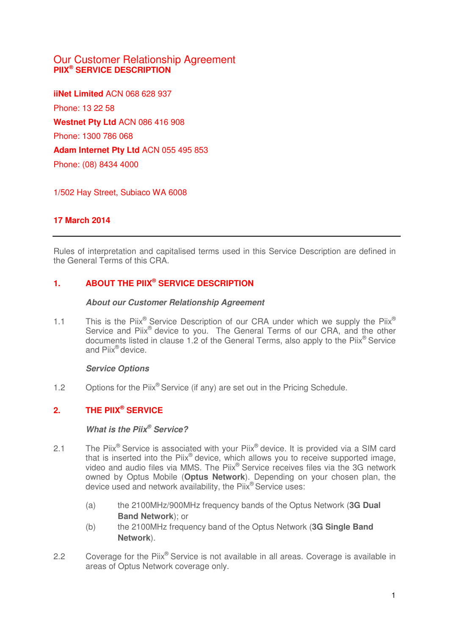# Our Customer Relationship Agreement **PIIX® SERVICE DESCRIPTION**

**iiNet Limited** ACN 068 628 937 Phone: 13 22 58 **Westnet Pty Ltd** ACN 086 416 908 Phone: 1300 786 068 **Adam Internet Pty Ltd** ACN 055 495 853 Phone: (08) 8434 4000

1/502 Hay Street, Subiaco WA 6008

# **17 March 2014**

Rules of interpretation and capitalised terms used in this Service Description are defined in the General Terms of this CRA.

# **1. ABOUT THE PIIX® SERVICE DESCRIPTION**

### **About our Customer Relationship Agreement**

1.1 This is the Piix® Service Description of our CRA under which we supply the Piix® Service and Piix<sup>®</sup> device to you. The General Terms of our CRA, and the other documents listed in clause 1.2 of the General Terms, also apply to the Piix® Service and Piix® device.

### **Service Options**

1.2 Options for the Piix<sup>®</sup> Service (if any) are set out in the Pricing Schedule.

# **2. THE PIIX® SERVICE**

#### **What is the Piix® Service?**

- 2.1 The Piix<sup>®</sup> Service is associated with your Piix<sup>®</sup> device. It is provided via a SIM card that is inserted into the Piix® device, which allows you to receive supported image, video and audio files via MMS. The Piix® Service receives files via the 3G network owned by Optus Mobile (**Optus Network**). Depending on your chosen plan, the device used and network availability, the Piix® Service uses:
	- (a) the 2100MHz/900MHz frequency bands of the Optus Network (**3G Dual Band Network**); or
	- (b) the 2100MHz frequency band of the Optus Network (**3G Single Band Network**).
- 2.2 Coverage for the Piix<sup>®</sup> Service is not available in all areas. Coverage is available in areas of Optus Network coverage only.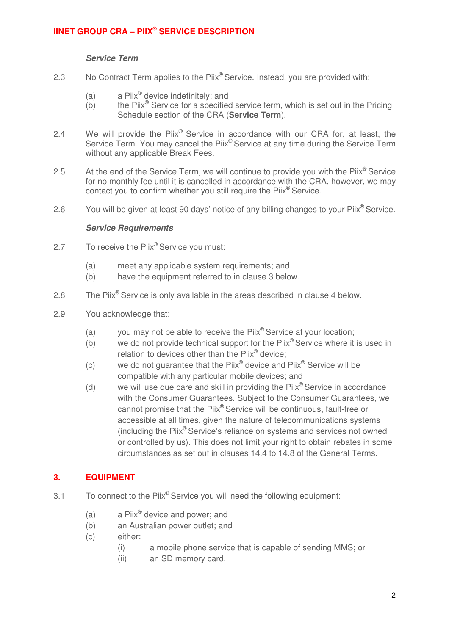# **IINET GROUP CRA – PIIX® SERVICE DESCRIPTION**

### **Service Term**

- 2.3 No Contract Term applies to the Piix<sup>®</sup> Service. Instead, you are provided with:
	- (a) a Piix<sup>®</sup> device indefinitely; and
	- $(b)$  the Piix<sup>®</sup> Service for a specified service term, which is set out in the Pricing Schedule section of the CRA (**Service Term**).
- 2.4 We will provide the Piix<sup>®</sup> Service in accordance with our CRA for, at least, the Service Term. You may cancel the Piix<sup>®</sup> Service at any time during the Service Term without any applicable Break Fees.
- 2.5 At the end of the Service Term, we will continue to provide you with the  $\text{Piix}^{\circledcirc}$  Service for no monthly fee until it is cancelled in accordance with the CRA, however, we may contact you to confirm whether you still require the Piix® Service.
- 2.6 You will be given at least 90 days' notice of any billing changes to your Piix<sup>®</sup> Service.

### **Service Requirements**

- 2.7 To receive the Piix® Service you must:
	- (a) meet any applicable system requirements; and
	- (b) have the equipment referred to in clause 3 below.
- 2.8 The Piix<sup>®</sup> Service is only available in the areas described in clause [4](#page-2-0) below.
- 2.9 You acknowledge that:
	- (a) you may not be able to receive the  $Piix^{\circ}$  Service at your location;
	- (b) we do not provide technical support for the  $Piix^{\circledast}$  Service where it is used in relation to devices other than the Piix® device;
	- (c) we do not guarantee that the Piix<sup>®</sup> device and Piix<sup>®</sup> Service will be compatible with any particular mobile devices; and
	- (d) we will use due care and skill in providing the  $Piix^{\circledcirc}$  Service in accordance with the Consumer Guarantees. Subject to the Consumer Guarantees, we cannot promise that the Piix® Service will be continuous, fault-free or accessible at all times, given the nature of telecommunications systems (including the Piix® Service's reliance on systems and services not owned or controlled by us). This does not limit your right to obtain rebates in some circumstances as set out in clauses 14.4 to 14.8 of the General Terms.

### **3. EQUIPMENT**

- 3.1 To connect to the Piix® Service you will need the following equipment:
	- (a)  $a$  Piix<sup>®</sup> device and power; and
	- (b) an Australian power outlet; and
	- (c) either:
		- (i) a mobile phone service that is capable of sending MMS; or
		- (ii) an SD memory card.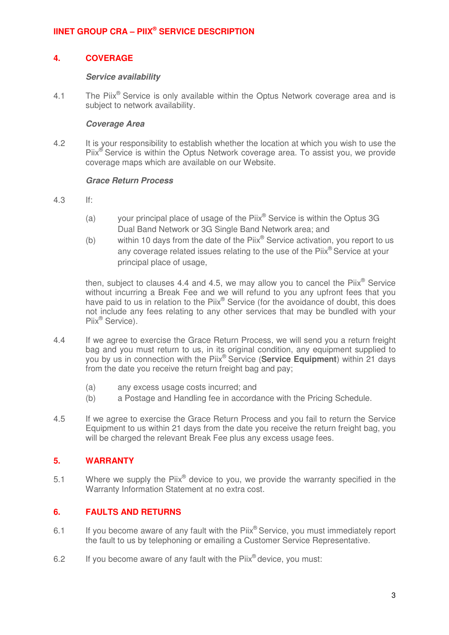# <span id="page-2-0"></span>**IINET GROUP CRA – PIIX® SERVICE DESCRIPTION**

### **4. COVERAGE**

#### **Service availability**

4.1 The Piix<sup>®</sup> Service is only available within the Optus Network coverage area and is subject to network availability.

#### **Coverage Area**

4.2 It is your responsibility to establish whether the location at which you wish to use the Piix<sup>®</sup> Service is within the Optus Network coverage area. To assist you, we provide coverage maps which are available on our Website.

### **Grace Return Process**

- 4.3 If:
	- (a) your principal place of usage of the Piix<sup>®</sup> Service is within the Optus 3G Dual Band Network or 3G Single Band Network area; and
	- (b) within 10 days from the date of the  $Piix^@$  Service activation, you report to us any coverage related issues relating to the use of the Piix<sup>®</sup> Service at your principal place of usage,

then, subject to clauses 4.4 and 4.5, we may allow you to cancel the Piix $^\circ$  Service without incurring a Break Fee and we will refund to you any upfront fees that you have paid to us in relation to the Piix® Service (for the avoidance of doubt, this does not include any fees relating to any other services that may be bundled with your Piix<sup>®</sup> Service).

- 4.4 If we agree to exercise the Grace Return Process, we will send you a return freight bag and you must return to us, in its original condition, any equipment supplied to you by us in connection with the Piix® Service (**Service Equipment**) within 21 days from the date you receive the return freight bag and pay;
	- (a) any excess usage costs incurred; and
	- (b) a Postage and Handling fee in accordance with the Pricing Schedule.
- 4.5 If we agree to exercise the Grace Return Process and you fail to return the Service Equipment to us within 21 days from the date you receive the return freight bag, you will be charged the relevant Break Fee plus any excess usage fees.

# **5. WARRANTY**

5.1 Where we supply the Piix<sup>®</sup> device to you, we provide the warranty specified in the Warranty Information Statement at no extra cost.

### **6. FAULTS AND RETURNS**

- 6.1 If you become aware of any fault with the  $Piix^{\circledcirc}$  Service, you must immediately report the fault to us by telephoning or emailing a Customer Service Representative.
- 6.2 If you become aware of any fault with the  $Piix^{\theta}$  device, you must: